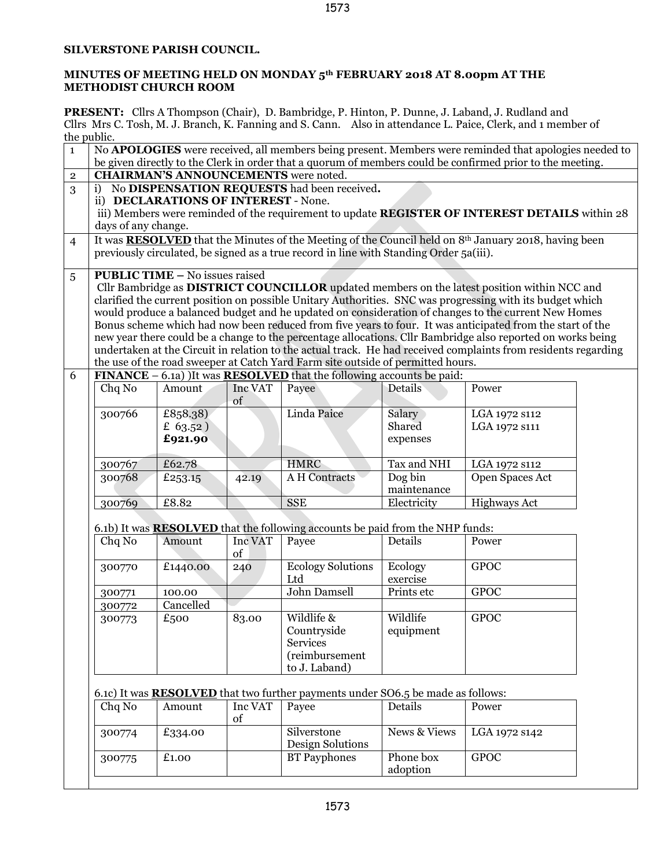## **SILVERSTONE PARISH COUNCIL.**

## **MINUTES OF MEETING HELD ON MONDAY 5th FEBRUARY 2018 AT 8.00pm AT THE METHODIST CHURCH ROOM**

**PRESENT:** Cllrs A Thompson (Chair), D. Bambridge, P. Hinton, P. Dunne, J. Laband, J. Rudland and Cllrs Mrs C. Tosh, M. J. Branch, K. Fanning and S. Cann. Also in attendance L. Paice, Clerk, and 1 member of the public.

| $\mathbf{1}$   | No APOLOGIES were received, all members being present. Members were reminded that apologies needed to<br>be given directly to the Clerk in order that a quorum of members could be confirmed prior to the meeting.                                                                                                                                                                                                                                                                                                                                                                                                                                                                                                                                                                        |                                    |               |                                                                                                 |                              |                                |  |
|----------------|-------------------------------------------------------------------------------------------------------------------------------------------------------------------------------------------------------------------------------------------------------------------------------------------------------------------------------------------------------------------------------------------------------------------------------------------------------------------------------------------------------------------------------------------------------------------------------------------------------------------------------------------------------------------------------------------------------------------------------------------------------------------------------------------|------------------------------------|---------------|-------------------------------------------------------------------------------------------------|------------------------------|--------------------------------|--|
| $\overline{2}$ | <b>CHAIRMAN'S ANNOUNCEMENTS</b> were noted.                                                                                                                                                                                                                                                                                                                                                                                                                                                                                                                                                                                                                                                                                                                                               |                                    |               |                                                                                                 |                              |                                |  |
| 3              | No DISPENSATION REQUESTS had been received.<br>i)<br>ii) DECLARATIONS OF INTEREST - None.<br>iii) Members were reminded of the requirement to update REGISTER OF INTEREST DETAILS within 28<br>days of any change.                                                                                                                                                                                                                                                                                                                                                                                                                                                                                                                                                                        |                                    |               |                                                                                                 |                              |                                |  |
| $\overline{4}$ | It was <b>RESOLVED</b> that the Minutes of the Meeting of the Council held on 8 <sup>th</sup> January 2018, having been<br>previously circulated, be signed as a true record in line with Standing Order 5a(iii).                                                                                                                                                                                                                                                                                                                                                                                                                                                                                                                                                                         |                                    |               |                                                                                                 |                              |                                |  |
| 5              | <b>PUBLIC TIME - No issues raised</b><br>Cllr Bambridge as DISTRICT COUNCILLOR updated members on the latest position within NCC and<br>clarified the current position on possible Unitary Authorities. SNC was progressing with its budget which<br>would produce a balanced budget and he updated on consideration of changes to the current New Homes<br>Bonus scheme which had now been reduced from five years to four. It was anticipated from the start of the<br>new year there could be a change to the percentage allocations. Cllr Bambridge also reported on works being<br>undertaken at the Circuit in relation to the actual track. He had received complaints from residents regarding<br>the use of the road sweeper at Catch Yard Farm site outside of permitted hours. |                                    |               |                                                                                                 |                              |                                |  |
| 6              |                                                                                                                                                                                                                                                                                                                                                                                                                                                                                                                                                                                                                                                                                                                                                                                           |                                    |               | <b>FINANCE</b> – 6.1a) It was <b>RESOLVED</b> that the following accounts be paid:              |                              |                                |  |
|                | Chq No                                                                                                                                                                                                                                                                                                                                                                                                                                                                                                                                                                                                                                                                                                                                                                                    | Amount                             | Inc VAT<br>of | Payee                                                                                           | Details                      | Power                          |  |
|                | 300766                                                                                                                                                                                                                                                                                                                                                                                                                                                                                                                                                                                                                                                                                                                                                                                    | £858.38)<br>£ $63.52$ )<br>£921.90 |               | Linda Paice                                                                                     | Salary<br>Shared<br>expenses | LGA 1972 s112<br>LGA 1972 S111 |  |
|                | 300767                                                                                                                                                                                                                                                                                                                                                                                                                                                                                                                                                                                                                                                                                                                                                                                    | £62.78                             |               | <b>HMRC</b>                                                                                     | Tax and NHI                  | LGA 1972 s112                  |  |
|                | 300768                                                                                                                                                                                                                                                                                                                                                                                                                                                                                                                                                                                                                                                                                                                                                                                    | £253.15                            | 42.19         | <b>AH</b> Contracts                                                                             | Dog bin<br>maintenance       | Open Spaces Act                |  |
|                | 300769                                                                                                                                                                                                                                                                                                                                                                                                                                                                                                                                                                                                                                                                                                                                                                                    | £8.82                              |               | <b>SSE</b>                                                                                      | Electricity                  | Highways Act                   |  |
|                |                                                                                                                                                                                                                                                                                                                                                                                                                                                                                                                                                                                                                                                                                                                                                                                           |                                    |               |                                                                                                 |                              |                                |  |
|                |                                                                                                                                                                                                                                                                                                                                                                                                                                                                                                                                                                                                                                                                                                                                                                                           | Amount                             | Inc VAT       | 6.1b) It was <b>RESOLVED</b> that the following accounts be paid from the NHP funds:            | Details                      | Power                          |  |
|                | Chq No                                                                                                                                                                                                                                                                                                                                                                                                                                                                                                                                                                                                                                                                                                                                                                                    |                                    | of            | Payee                                                                                           |                              |                                |  |
|                | 300770                                                                                                                                                                                                                                                                                                                                                                                                                                                                                                                                                                                                                                                                                                                                                                                    | £1440.00                           | 240           | <b>Ecology Solutions</b><br>Ltd                                                                 | Ecology<br>exercise          | <b>GPOC</b>                    |  |
|                | 300771                                                                                                                                                                                                                                                                                                                                                                                                                                                                                                                                                                                                                                                                                                                                                                                    | 100.00                             |               | <b>John Damsell</b>                                                                             | Prints etc                   | <b>GPOC</b>                    |  |
|                | 300772                                                                                                                                                                                                                                                                                                                                                                                                                                                                                                                                                                                                                                                                                                                                                                                    | Cancelled                          |               |                                                                                                 |                              |                                |  |
|                | 300773                                                                                                                                                                                                                                                                                                                                                                                                                                                                                                                                                                                                                                                                                                                                                                                    | £500                               | 83.00         | Wildlife &<br>Countryside<br>Services<br>(reimbursement<br>to J. Laband)                        | Wildlife<br>equipment        | <b>GPOC</b>                    |  |
|                |                                                                                                                                                                                                                                                                                                                                                                                                                                                                                                                                                                                                                                                                                                                                                                                           |                                    |               |                                                                                                 |                              |                                |  |
|                | Chq No                                                                                                                                                                                                                                                                                                                                                                                                                                                                                                                                                                                                                                                                                                                                                                                    | Amount                             | Inc VAT<br>of | 6.1c) It was <b>RESOLVED</b> that two further payments under SO6.5 be made as follows:<br>Payee | Details                      | Power                          |  |
|                | 300774                                                                                                                                                                                                                                                                                                                                                                                                                                                                                                                                                                                                                                                                                                                                                                                    | £334.00                            |               | Silverstone<br>Design Solutions                                                                 | <b>News &amp; Views</b>      | LGA 1972 s142                  |  |
|                | 300775                                                                                                                                                                                                                                                                                                                                                                                                                                                                                                                                                                                                                                                                                                                                                                                    | £1.00                              |               | <b>BT</b> Payphones                                                                             | Phone box<br>adoption        | <b>GPOC</b>                    |  |
|                |                                                                                                                                                                                                                                                                                                                                                                                                                                                                                                                                                                                                                                                                                                                                                                                           |                                    |               |                                                                                                 |                              |                                |  |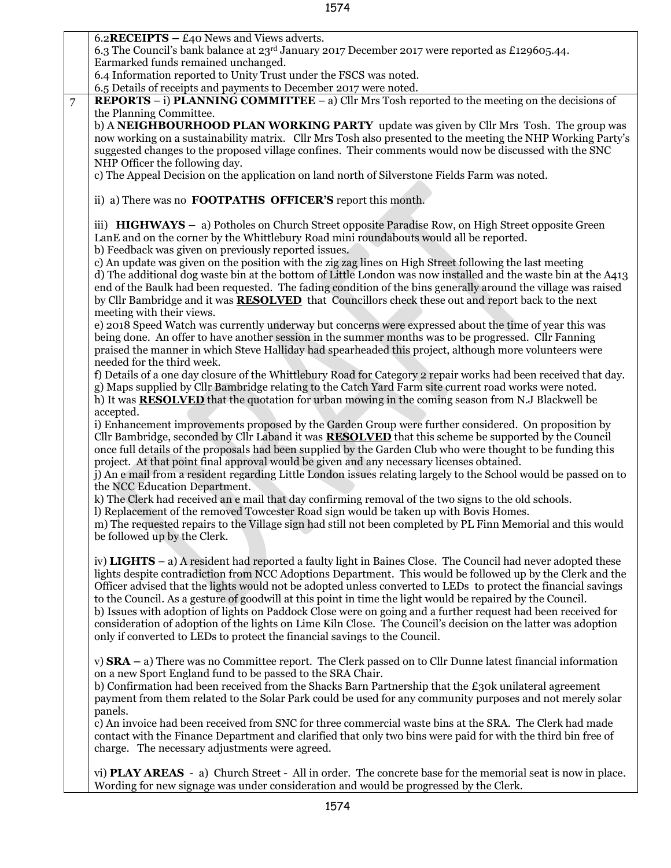|                | 6.2 RECEIPTS $- E40$ News and Views adverts.                                                                                                                                                                                                                                                                                                                                                                                                                                                                                                                                                                                                                                                                                                                               |  |  |  |  |  |
|----------------|----------------------------------------------------------------------------------------------------------------------------------------------------------------------------------------------------------------------------------------------------------------------------------------------------------------------------------------------------------------------------------------------------------------------------------------------------------------------------------------------------------------------------------------------------------------------------------------------------------------------------------------------------------------------------------------------------------------------------------------------------------------------------|--|--|--|--|--|
|                | 6.3 The Council's bank balance at 23 <sup>rd</sup> January 2017 December 2017 were reported as £129605.44.                                                                                                                                                                                                                                                                                                                                                                                                                                                                                                                                                                                                                                                                 |  |  |  |  |  |
|                | Earmarked funds remained unchanged.                                                                                                                                                                                                                                                                                                                                                                                                                                                                                                                                                                                                                                                                                                                                        |  |  |  |  |  |
|                | 6.4 Information reported to Unity Trust under the FSCS was noted.                                                                                                                                                                                                                                                                                                                                                                                                                                                                                                                                                                                                                                                                                                          |  |  |  |  |  |
|                | 6.5 Details of receipts and payments to December 2017 were noted.                                                                                                                                                                                                                                                                                                                                                                                                                                                                                                                                                                                                                                                                                                          |  |  |  |  |  |
| $\overline{7}$ | <b>REPORTS</b> – i) <b>PLANNING COMMITTEE</b> – a) Cllr Mrs Tosh reported to the meeting on the decisions of                                                                                                                                                                                                                                                                                                                                                                                                                                                                                                                                                                                                                                                               |  |  |  |  |  |
|                | the Planning Committee.<br>b) A NEIGHBOURHOOD PLAN WORKING PARTY update was given by Cllr Mrs Tosh. The group was<br>now working on a sustainability matrix. Cllr Mrs Tosh also presented to the meeting the NHP Working Party's<br>suggested changes to the proposed village confines. Their comments would now be discussed with the SNC<br>NHP Officer the following day.<br>c) The Appeal Decision on the application on land north of Silverstone Fields Farm was noted.                                                                                                                                                                                                                                                                                              |  |  |  |  |  |
|                | ii) a) There was no <b>FOOTPATHS OFFICER'S</b> report this month.                                                                                                                                                                                                                                                                                                                                                                                                                                                                                                                                                                                                                                                                                                          |  |  |  |  |  |
|                |                                                                                                                                                                                                                                                                                                                                                                                                                                                                                                                                                                                                                                                                                                                                                                            |  |  |  |  |  |
|                | iii) <b>HIGHWAYS</b> – a) Potholes on Church Street opposite Paradise Row, on High Street opposite Green<br>LanE and on the corner by the Whittlebury Road mini roundabouts would all be reported.                                                                                                                                                                                                                                                                                                                                                                                                                                                                                                                                                                         |  |  |  |  |  |
|                | b) Feedback was given on previously reported issues.<br>c) An update was given on the position with the zig zag lines on High Street following the last meeting<br>d) The additional dog waste bin at the bottom of Little London was now installed and the waste bin at the A413<br>end of the Baulk had been requested. The fading condition of the bins generally around the village was raised<br>by Cllr Bambridge and it was <b>RESOLVED</b> that Councillors check these out and report back to the next<br>meeting with their views.                                                                                                                                                                                                                               |  |  |  |  |  |
|                | e) 2018 Speed Watch was currently underway but concerns were expressed about the time of year this was<br>being done. An offer to have another session in the summer months was to be progressed. Cllr Fanning<br>praised the manner in which Steve Halliday had spearheaded this project, although more volunteers were<br>needed for the third week.                                                                                                                                                                                                                                                                                                                                                                                                                     |  |  |  |  |  |
|                | f) Details of a one day closure of the Whittlebury Road for Category 2 repair works had been received that day.<br>g) Maps supplied by Cllr Bambridge relating to the Catch Yard Farm site current road works were noted.<br>h) It was <b>RESOLVED</b> that the quotation for urban mowing in the coming season from N.J Blackwell be                                                                                                                                                                                                                                                                                                                                                                                                                                      |  |  |  |  |  |
|                | accepted.<br>i) Enhancement improvements proposed by the Garden Group were further considered. On proposition by<br>Cllr Bambridge, seconded by Cllr Laband it was <b>RESOLVED</b> that this scheme be supported by the Council<br>once full details of the proposals had been supplied by the Garden Club who were thought to be funding this<br>project. At that point final approval would be given and any necessary licenses obtained.<br>j) An e mail from a resident regarding Little London issues relating largely to the School would be passed on to<br>the NCC Education Department.                                                                                                                                                                           |  |  |  |  |  |
|                | k) The Clerk had received an e mail that day confirming removal of the two signs to the old schools.<br>I) Replacement of the removed Towcester Road sign would be taken up with Bovis Homes.<br>m) The requested repairs to the Village sign had still not been completed by PL Finn Memorial and this would<br>be followed up by the Clerk.                                                                                                                                                                                                                                                                                                                                                                                                                              |  |  |  |  |  |
|                | iv) LIGHTS $-$ a) A resident had reported a faulty light in Baines Close. The Council had never adopted these<br>lights despite contradiction from NCC Adoptions Department. This would be followed up by the Clerk and the<br>Officer advised that the lights would not be adopted unless converted to LEDs to protect the financial savings<br>to the Council. As a gesture of goodwill at this point in time the light would be repaired by the Council.<br>b) Issues with adoption of lights on Paddock Close were on going and a further request had been received for<br>consideration of adoption of the lights on Lime Kiln Close. The Council's decision on the latter was adoption<br>only if converted to LEDs to protect the financial savings to the Council. |  |  |  |  |  |
|                | v) $\text{SRA}$ – a) There was no Committee report. The Clerk passed on to Cllr Dunne latest financial information<br>on a new Sport England fund to be passed to the SRA Chair.<br>b) Confirmation had been received from the Shacks Barn Partnership that the $E_3$ ok unilateral agreement<br>payment from them related to the Solar Park could be used for any community purposes and not merely solar<br>panels.                                                                                                                                                                                                                                                                                                                                                      |  |  |  |  |  |
|                | c) An invoice had been received from SNC for three commercial waste bins at the SRA. The Clerk had made<br>contact with the Finance Department and clarified that only two bins were paid for with the third bin free of<br>charge. The necessary adjustments were agreed.                                                                                                                                                                                                                                                                                                                                                                                                                                                                                                 |  |  |  |  |  |
|                | vi) PLAY AREAS - a) Church Street - All in order. The concrete base for the memorial seat is now in place.<br>Wording for new signage was under consideration and would be progressed by the Clerk.                                                                                                                                                                                                                                                                                                                                                                                                                                                                                                                                                                        |  |  |  |  |  |

1574